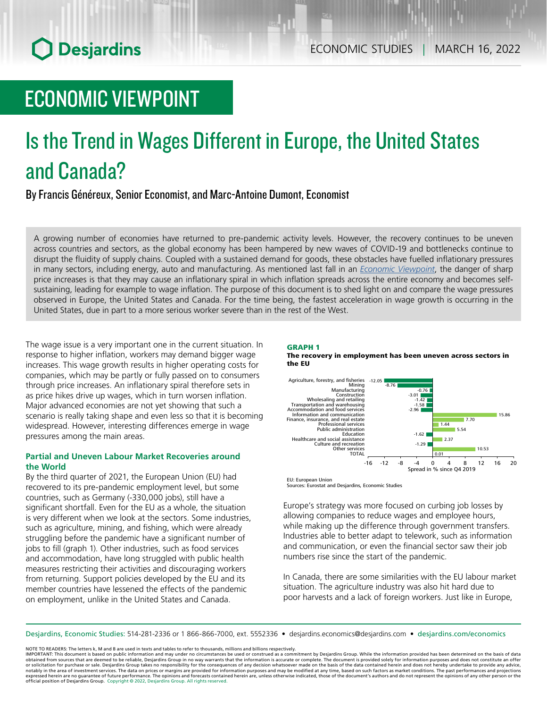# **O** Desjardins

# ECONOMIC VIEWPOINT

# Is the Trend in Wages Different in Europe, the United States and Canada?

By Francis Généreux, Senior Economist, and Marc-Antoine Dumont, Economist

A growing number of economies have returned to pre-pandemic activity levels. However, the recovery continues to be uneven across countries and sectors, as the global economy has been hampered by new waves of COVID-19 and bottlenecks continue to disrupt the fluidity of supply chains. Coupled with a sustained demand for goods, these obstacles have fuelled inflationary pressures in many sectors, including energy, auto and manufacturing. As mentioned last fall in an *Economic [Viewpoint](https://www.desjardins.com/ressources/pdf/pv211026-e.pdf?resVer=1635256879000)*, the danger of sharp price increases is that they may cause an inflationary spiral in which inflation spreads across the entire economy and becomes selfsustaining, leading for example to wage inflation. The purpose of this document is to shed light on and compare the wage pressures observed in Europe, the United States and Canada. For the time being, the fastest acceleration in wage growth is occurring in the United States, due in part to a more serious worker severe than in the rest of the West.

The wage issue is a very important one in the current situation. In response to higher inflation, workers may demand bigger wage increases. This wage growth results in higher operating costs for companies, which may be partly or fully passed on to consumers through price increases. An inflationary spiral therefore sets in as price hikes drive up wages, which in turn worsen inflation. Major advanced economies are not yet showing that such a scenario is really taking shape and even less so that it is becoming widespread. However, interesting differences emerge in wage pressures among the main areas.

### **Partial and Uneven Labour Market Recoveries around the World**

By the third quarter of 2021, the European Union (EU) had recovered to its pre-pandemic employment level, but some countries, such as Germany (-330,000 jobs), still have a significant shortfall. Even for the EU as a whole, the situation is very different when we look at the sectors. Some industries, such as agriculture, mining, and fishing, which were already struggling before the pandemic have a significant number of jobs to fill (graph 1). Other industries, such as food services and accommodation, have long struggled with public health measures restricting their activities and discouraging workers from returning. Support policies developed by the EU and its member countries have lessened the effects of the pandemic on employment, unlike in the United States and Canada.

### GRAPH 1

The recovery in employment has been uneven across sectors in the EU



Sources: Eurostat and Desjardins, Economic Studies

Europe's strategy was more focused on curbing job losses by allowing companies to reduce wages and employee hours, while making up the difference through government transfers. Industries able to better adapt to telework, such as information and communication, or even the financial sector saw their job numbers rise since the start of the pandemic.

In Canada, there are some similarities with the EU labour market situation. The agriculture industry was also hit hard due to poor harvests and a lack of foreign workers. Just like in Europe,

Desjardins, Economic Studies: 514‑281‑2336 or 1 866‑866‑7000, ext. 5552336 • desjardins.economics@desjardins.com • [desjardins.com/economics](http://desjardins.com/economics)

NOTE TO READERS: The letters k, M and B are used in texts and tables to refer to thousands, millions and billions respectively.

IMPORTANT: This document is based on public information and may under no circumstances be used or construed as a commitment by Desjardins Group. While the information provided has been determined on the basis of data<br>obtai notably in the area of investment services. The data on prices or margins are provided for information purposes and may be modified at any time, based on such factors as market conditions. The past performances and project expressed herein are no guarantee of future performance. The opinions and forecasts contained herein are, unless otherwise indicated, those of the document's authors and do not represent the opinions of any other person or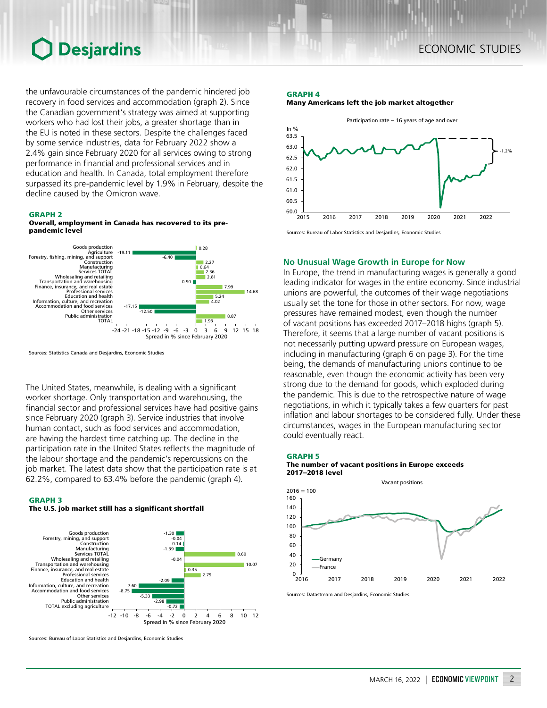## **O** Desjardins

the unfavourable circumstances of the pandemic hindered job recovery in food services and accommodation (graph 2). Since the Canadian government's strategy was aimed at supporting workers who had lost their jobs, a greater shortage than in the EU is noted in these sectors. Despite the challenges faced by some service industries, data for February 2022 show a 2.4% gain since February 2020 for all services owing to strong performance in financial and professional services and in education and health. In Canada, total employment therefore surpassed its pre-pandemic level by 1.9% in February, despite the decline caused by the Omicron wave.

### GRAPH 2





Sources: Statistics Canada and Desjardins, Economic Studies

The United States, meanwhile, is dealing with a significant worker shortage. Only transportation and warehousing, the financial sector and professional services have had positive gains since February 2020 (graph 3). Service industries that involve human contact, such as food services and accommodation, are having the hardest time catching up. The decline in the participation rate in the United States reflects the magnitude of the labour shortage and the pandemic's repercussions on the job market. The latest data show that the participation rate is at 62.2%, compared to 63.4% before the pandemic (graph 4).



The U.S. job market still has a significant shortfall



Sources: Bureau of Labor Statistics and Desjardins, Economic Studies

### GRAPH 4





Sources: Bureau of Labor Statistics and Desjardins, Economic Studies

### **No Unusual Wage Growth in Europe for Now**

In Europe, the trend in manufacturing wages is generally a good leading indicator for wages in the entire economy. Since industrial unions are powerful, the outcomes of their wage negotiations usually set the tone for those in other sectors. For now, wage pressures have remained modest, even though the number of vacant positions has exceeded 2017–2018 highs (graph 5). Therefore, it seems that a large number of vacant positions is not necessarily putting upward pressure on European wages, including in manufacturing (graph 6 on page 3). For the time being, the demands of manufacturing unions continue to be reasonable, even though the economic activity has been very strong due to the demand for goods, which exploded during the pandemic. This is due to the retrospective nature of wage negotiations, in which it typically takes a few quarters for past inflation and labour shortages to be considered fully. Under these circumstances, wages in the European manufacturing sector could eventually react.





Sources: Datastream and Desjardins, Economic Studies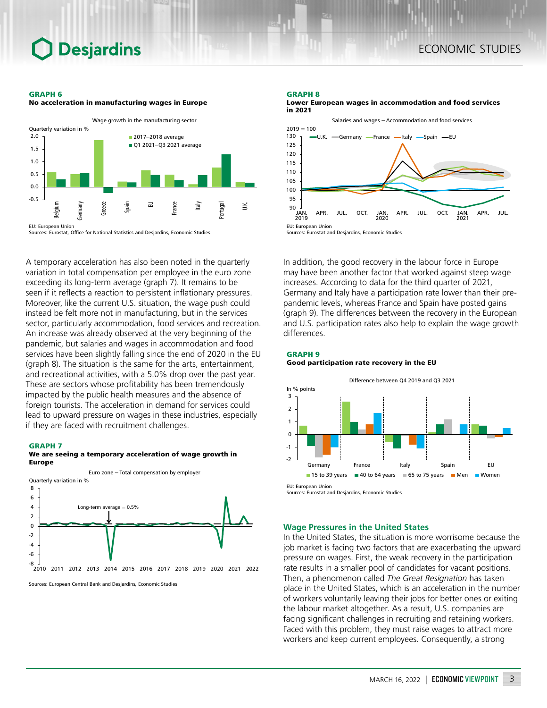### **Desjardins**

### ECONOMIC STUDIES

#### GRAPH 6



Sources: Eurostat, Office for National Statistics and Desjardins, Economic Studies

No acceleration in manufacturing wages in Europe

A temporary acceleration has also been noted in the quarterly variation in total compensation per employee in the euro zone exceeding its long-term average (graph 7). It remains to be seen if it reflects a reaction to persistent inflationary pressures. Moreover, like the current U.S. situation, the wage push could instead be felt more not in manufacturing, but in the services sector, particularly accommodation, food services and recreation. An increase was already observed at the very beginning of the pandemic, but salaries and wages in accommodation and food services have been slightly falling since the end of 2020 in the EU (graph 8). The situation is the same for the arts, entertainment, and recreational activities, with a 5.0% drop over the past year. These are sectors whose profitability has been tremendously impacted by the public health measures and the absence of foreign tourists. The acceleration in demand for services could lead to upward pressure on wages in these industries, especially if they are faced with recruitment challenges.

#### GRAPH 7





Sources: European Central Bank and Desjardins, Economic Studies

#### GRAPH 8

Lower European wages in accommodation and food services in 2021



In addition, the good recovery in the labour force in Europe may have been another factor that worked against steep wage increases. According to data for the third quarter of 2021, Germany and Italy have a participation rate lower than their prepandemic levels, whereas France and Spain have posted gains (graph 9). The differences between the recovery in the European and U.S. participation rates also help to explain the wage growth differences.







### **Wage Pressures in the United States**

In the United States, the situation is more worrisome because the job market is facing two factors that are exacerbating the upward pressure on wages. First, the weak recovery in the participation rate results in a smaller pool of candidates for vacant positions. Then, a phenomenon called *The Great Resignation* has taken place in the United States, which is an acceleration in the number of workers voluntarily leaving their jobs for better ones or exiting the labour market altogether. As a result, U.S. companies are facing significant challenges in recruiting and retaining workers. Faced with this problem, they must raise wages to attract more workers and keep current employees. Consequently, a strong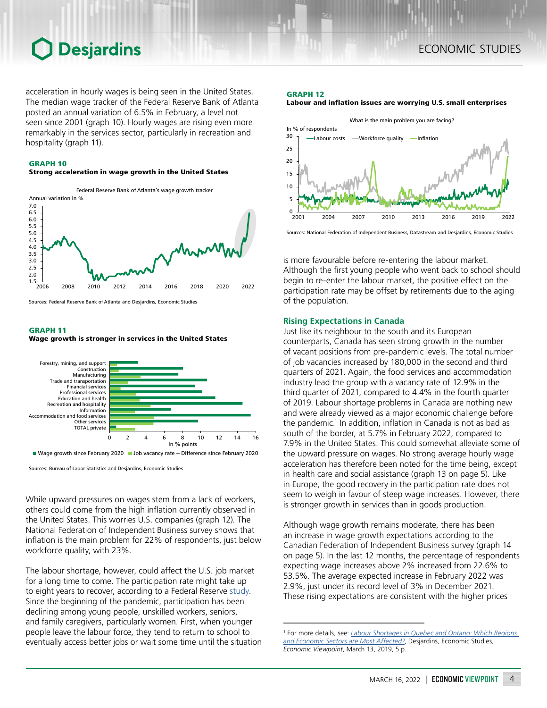## Desjardins

acceleration in hourly wages is being seen in the United States. The median wage tracker of the Federal Reserve Bank of Atlanta posted an annual variation of 6.5% in February, a level not seen since 2001 (graph 10). Hourly wages are rising even more remarkably in the services sector, particularly in recreation and hospitality (graph 11).

### GRAPH 10

### Strong acceleration in wage growth in the United States



Sources: Federal Reserve Bank of Atlanta and Desjardins, Economic Studies

### GRAPH 11

### Wage growth is stronger in services in the United States



Wage growth since February 2020 Job vacancy rate - Difference since February 2020

Sources: Bureau of Labor Statistics and Desjardins, Economic Studies

While upward pressures on wages stem from a lack of workers, others could come from the high inflation currently observed in the United States. This worries U.S. companies (graph 12). The National Federation of Independent Business survey shows that inflation is the main problem for 22% of respondents, just below workforce quality, with 23%.

The labour shortage, however, could affect the U.S. job market for a long time to come. The participation rate might take up to eight years to recover, according to a Federal Reserve [study.](https://www.federalreserve.gov/econres/feds/the-long-lived-cyclicality-of-the-labor-force-participation-rate.htm) Since the beginning of the pandemic, participation has been declining among young people, unskilled workers, seniors, and family caregivers, particularly women. First, when younger people leave the labour force, they tend to return to school to eventually access better jobs or wait some time until the situation

#### GRAPH 12

### Labour and inflation issues are worrying U.S. small enterprises



Sources: National Federation of Independent Business, Datastream and Desjardins, Economic Studies

is more favourable before re-entering the labour market. Although the first young people who went back to school should begin to re-enter the labour market, the positive effect on the participation rate may be offset by retirements due to the aging of the population.

### **Rising Expectations in Canada**

Just like its neighbour to the south and its European counterparts, Canada has seen strong growth in the number of vacant positions from pre-pandemic levels. The total number of job vacancies increased by 180,000 in the second and third quarters of 2021. Again, the food services and accommodation industry lead the group with a vacancy rate of 12.9% in the third quarter of 2021, compared to 4.4% in the fourth quarter of 2019. Labour shortage problems in Canada are nothing new and were already viewed as a major economic challenge before the pandemic.<sup>1</sup> In addition, inflation in Canada is not as bad as south of the border, at 5.7% in February 2022, compared to 7.9% in the United States. This could somewhat alleviate some of the upward pressure on wages. No strong average hourly wage acceleration has therefore been noted for the time being, except in health care and social assistance (graph 13 on page 5). Like in Europe, the good recovery in the participation rate does not seem to weigh in favour of steep wage increases. However, there is stronger growth in services than in goods production.

Although wage growth remains moderate, there has been an increase in wage growth expectations according to the Canadian Federation of Independent Business survey (graph 14 on page 5). In the last 12 months, the percentage of respondents expecting wage increases above 2% increased from 22.6% to 53.5%. The average expected increase in February 2022 was 2.9%, just under its record level of 3% in December 2021. These rising expectations are consistent with the higher prices

<sup>1</sup> For more details, see: *[Labour Shortages in Quebec and Ontario: Which Regions](https://www.desjardins.com/ressouhttps://www.desjardins.com/ressources/pdf/pv031319e.pdf?resVer=1552482311000rces/pdf/pv031319f.pdf)  [and Economic Sectors are Most Affected?](https://www.desjardins.com/ressouhttps://www.desjardins.com/ressources/pdf/pv031319e.pdf?resVer=1552482311000rces/pdf/pv031319f.pdf)*, Desjardins, Economic Studies, *Economic Viewpoint*, March 13, 2019, 5 p.